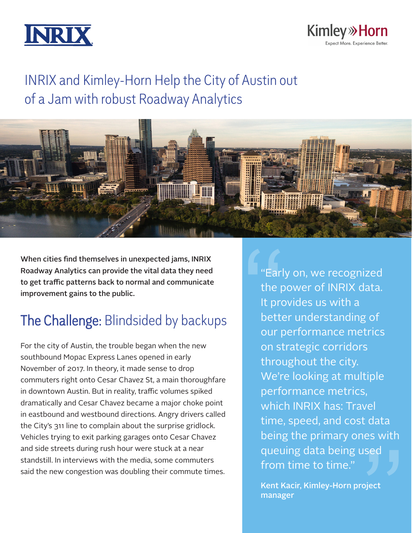



# INRIX and Kimley-Horn Help the City of Austin out of a Jam with robust Roadway Analytics



When cities find themselves in unexpected jams, INRIX Roadway Analytics can provide the vital data they need to get traffic patterns back to normal and communicate improvement gains to the public.

# The Challenge: Blindsided by backups

For the city of Austin, the trouble began when the new southbound Mopac Express Lanes opened in early November of 2017. In theory, it made sense to drop commuters right onto Cesar Chavez St, a main thoroughfare in downtown Austin. But in reality, traffic volumes spiked dramatically and Cesar Chavez became a major choke point in eastbound and westbound directions. Angry drivers called the City's 311 line to complain about the surprise gridlock. Vehicles trying to exit parking garages onto Cesar Chavez and side streets during rush hour were stuck at a near standstill. In interviews with the media, some commuters said the new congestion was doubling their commute times.

"Early on, we recognized the power of INRIX data. It provides us with a better understanding of our performance metrics on strategic corridors throughout the city. We're looking at multiple performance metrics, which INRIX has: Travel time, speed, and cost data being the primary ones with queuing data being used from time to time." Farl<br>
the p<br>
the p<br>
the p<br>
bette<br>
our p<br>
const  $\int$ 

> Kent Kacir, Kimley-Horn project manager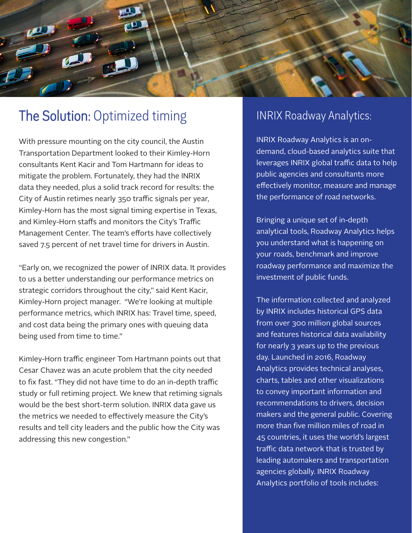

### The Solution: Optimized timing **INRIX Roadway Analytics:**

With pressure mounting on the city council, the Austin Transportation Department looked to their Kimley-Horn consultants Kent Kacir and Tom Hartmann for ideas to mitigate the problem. Fortunately, they had the INRIX data they needed, plus a solid track record for results: the City of Austin retimes nearly 350 traffic signals per year, Kimley-Horn has the most signal timing expertise in Texas, and Kimley-Horn staffs and monitors the City's Traffic Management Center. The team's efforts have collectively saved 7.5 percent of net travel time for drivers in Austin.

"Early on, we recognized the power of INRIX data. It provides to us a better understanding our performance metrics on strategic corridors throughout the city," said Kent Kacir, Kimley-Horn project manager. "We're looking at multiple performance metrics, which INRIX has: Travel time, speed, and cost data being the primary ones with queuing data being used from time to time."

Kimley-Horn traffic engineer Tom Hartmann points out that Cesar Chavez was an acute problem that the city needed to fix fast. "They did not have time to do an in-depth traffic study or full retiming project. We knew that retiming signals would be the best short-term solution. INRIX data gave us the metrics we needed to effectively measure the City's results and tell city leaders and the public how the City was addressing this new congestion."

INRIX Roadway Analytics is an ondemand, cloud-based analytics suite that leverages INRIX global traffic data to help public agencies and consultants more effectively monitor, measure and manage the performance of road networks.

Bringing a unique set of in-depth analytical tools, Roadway Analytics helps you understand what is happening on your roads, benchmark and improve roadway performance and maximize the investment of public funds.

The information collected and analyzed by INRIX includes historical GPS data from over 300 million global sources and features historical data availability for nearly 3 years up to the previous day. Launched in 2016, Roadway Analytics provides technical analyses, charts, tables and other visualizations to convey important information and recommendations to drivers, decision makers and the general public. Covering more than five million miles of road in 45 countries, it uses the world's largest traffic data network that is trusted by leading automakers and transportation agencies globally. INRIX Roadway Analytics portfolio of tools includes: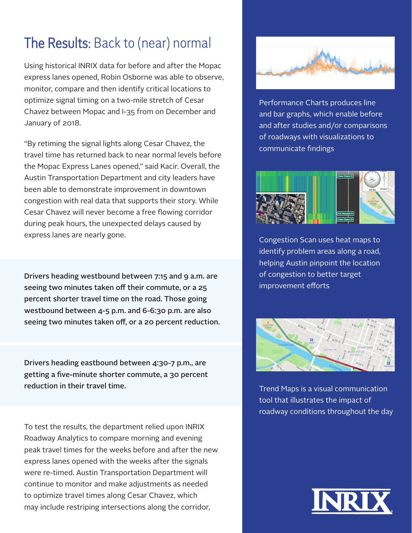# The Results: Back to (near) normal

Using historical INRIX data for before and after the Mopac express lanes opened, Robin Osborne was able to observe, monitor, compare and then identify critical locations to optimize signal timing on a two-mile stretch of Cesar Chavez between Mopac and I-35 from on December and January of 2018.

"By retiming the signal lights along Cesar Chavez, the travel time has returned back to near normal levels before the Mopac Express Lanes opened," said Kacir. Overall, the Austin Transportation Department and city leaders have been able to demonstrate improvement in downtown congestion with real data that supports their story. While Cesar Chavez will never become a free flowing corridor during peak hours, the unexpected delays caused by express lanes are nearly gone.

Drivers heading westbound between 7:15 and 9 a.m. are seeing two minutes taken off their commute, or a 25 percent shorter travel time on the road. Those going westbound between 4-5 p.m. and 6-6:30 p.m. are also seeing two minutes taken off, or a 20 percent reduction.

Drivers heading eastbound between 4:30-7 p.m., are getting a five-minute shorter commute, a 30 percent reduction in their travel time.

To test the results, the department relied upon INRIX Roadway Analytics to compare morning and evening peak travel times for the weeks before and after the new express lanes opened with the weeks after the signals were re-timed. Austin Transportation Department will continue to monitor and make adjustments as needed to optimize travel times along Cesar Chavez, which may include restriping intersections along the corridor,



Performance Charts produces line and bar graphs, which enable before and after studies and/or comparisons of roadways with visualizations to communicate findings



Congestion Scan uses heat maps to identify problem areas along a road, helping Austin pinpoint the location of congestion to better target improvement efforts



Trend Maps is a visual communication tool that illustrates the impact of roadway conditions throughout the day